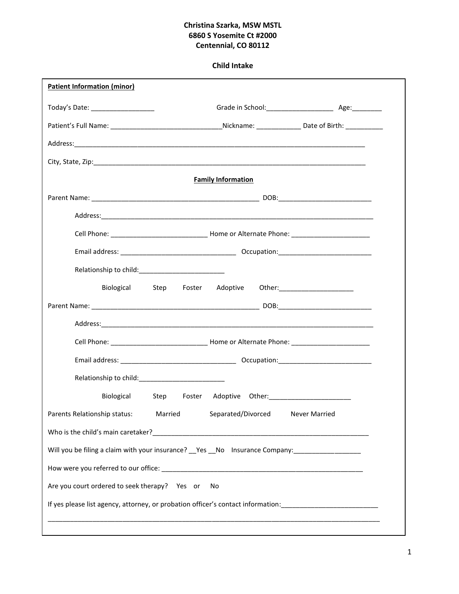# **Christina Szarka, MSW MSTL 6860 S Yosemite Ct #2000 Centennial, CO 80112**

# **Child Intake**

 $\mathbf{r}$ 

| <b>Patient Information (minor)</b>            |                                                                                                                |                                                                     |
|-----------------------------------------------|----------------------------------------------------------------------------------------------------------------|---------------------------------------------------------------------|
| Today's Date: ___________________             |                                                                                                                | Grade in School: ________________________________ Age: ____________ |
|                                               |                                                                                                                |                                                                     |
|                                               |                                                                                                                |                                                                     |
|                                               |                                                                                                                |                                                                     |
|                                               | <b>Family Information</b>                                                                                      |                                                                     |
|                                               |                                                                                                                |                                                                     |
|                                               |                                                                                                                |                                                                     |
|                                               |                                                                                                                |                                                                     |
|                                               |                                                                                                                |                                                                     |
|                                               |                                                                                                                |                                                                     |
|                                               | Biological Step Foster Adoptive Other: 1988 1999                                                               |                                                                     |
|                                               |                                                                                                                |                                                                     |
|                                               |                                                                                                                |                                                                     |
|                                               |                                                                                                                |                                                                     |
|                                               |                                                                                                                |                                                                     |
|                                               |                                                                                                                |                                                                     |
|                                               | Biological Step Foster Adoptive Other: 2000 2010 2020                                                          |                                                                     |
| Parents Relationship status: Married          | Separated/Divorced Never Married                                                                               |                                                                     |
|                                               |                                                                                                                |                                                                     |
|                                               | Will you be filing a claim with your insurance? __Yes __No lnsurance Company: _____________________            |                                                                     |
|                                               |                                                                                                                |                                                                     |
| Are you court ordered to seek therapy? Yes or | No                                                                                                             |                                                                     |
|                                               | If yes please list agency, attorney, or probation officer's contact information: _____________________________ |                                                                     |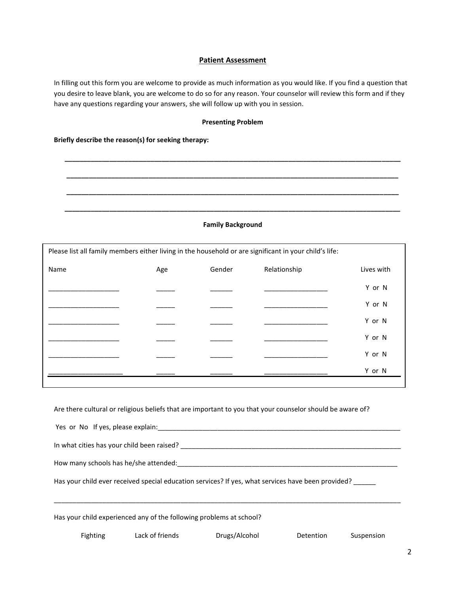## **Patient Assessment**

In filling out this form you are welcome to provide as much information as you would like. If you find a question that you desire to leave blank, you are welcome to do so for any reason. Your counselor will review this form and if they have any questions regarding your answers, she will follow up with you in session.

#### **Presenting Problem**

**\_\_\_\_\_\_\_\_\_\_\_\_\_\_\_\_\_\_\_\_\_\_\_\_\_\_\_\_\_\_\_\_\_\_\_\_\_\_\_\_\_\_\_\_\_\_\_\_\_\_\_\_\_\_\_\_\_\_\_\_\_\_\_\_\_\_\_\_\_\_\_\_\_\_\_\_\_\_\_\_\_\_\_\_\_\_\_\_\_\_**

**\_\_\_\_\_\_\_\_\_\_\_\_\_\_\_\_\_\_\_\_\_\_\_\_\_\_\_\_\_\_\_\_\_\_\_\_\_\_\_\_\_\_\_\_\_\_\_\_\_\_\_\_\_\_\_\_\_\_\_\_\_\_\_\_\_\_\_\_\_\_\_\_\_\_\_\_\_\_\_\_\_\_\_\_\_\_\_\_\_**

**\_\_\_\_\_\_\_\_\_\_\_\_\_\_\_\_\_\_\_\_\_\_\_\_\_\_\_\_\_\_\_\_\_\_\_\_\_\_\_\_\_\_\_\_\_\_\_\_\_\_\_\_\_\_\_\_\_\_\_\_\_\_\_\_\_\_\_\_\_\_\_\_\_\_\_\_\_\_\_\_\_\_\_\_\_\_\_\_\_**

## **Briefly describe the reason(s) for seeking therapy:**

#### **Family Background**

**\_\_\_\_\_\_\_\_\_\_\_\_\_\_\_\_\_\_\_\_\_\_\_\_\_\_\_\_\_\_\_\_\_\_\_\_\_\_\_\_\_\_\_\_\_\_\_\_\_\_\_\_\_\_\_\_\_\_\_\_\_\_\_\_\_\_\_\_\_\_\_\_\_\_\_\_\_\_\_\_\_\_\_\_\_\_\_\_\_\_**

| Please list all family members either living in the household or are significant in your child's life: |     |        |              |            |
|--------------------------------------------------------------------------------------------------------|-----|--------|--------------|------------|
| Name                                                                                                   | Age | Gender | Relationship | Lives with |
|                                                                                                        |     |        |              | Y or N     |
|                                                                                                        |     |        |              | Y or N     |
|                                                                                                        |     |        |              | Y or N     |
|                                                                                                        |     |        |              | Y or N     |
|                                                                                                        |     |        |              | Y or N     |
|                                                                                                        |     |        |              | Y or N     |

Are there cultural or religious beliefs that are important to you that your counselor should be aware of?

| Has your child experienced any of the following problems at school?                                |
|----------------------------------------------------------------------------------------------------|
| Has your child ever received special education services? If yes, what services have been provided? |
| How many schools has he/she attended:                                                              |
| In what cities has your child been raised?                                                         |
| Yes or No If yes, please explain:                                                                  |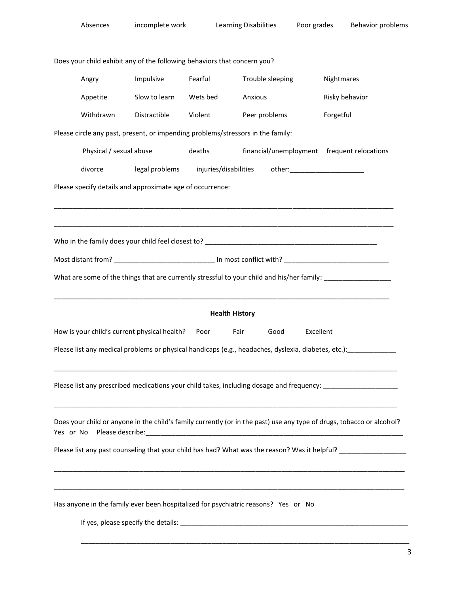| Absences                                                                           | incomplete work                                                                                     |                       | <b>Learning Disabilities</b> | Poor grades | <b>Behavior problems</b>                                                                                                                                                                                                                       |
|------------------------------------------------------------------------------------|-----------------------------------------------------------------------------------------------------|-----------------------|------------------------------|-------------|------------------------------------------------------------------------------------------------------------------------------------------------------------------------------------------------------------------------------------------------|
|                                                                                    | Does your child exhibit any of the following behaviors that concern you?                            |                       |                              |             |                                                                                                                                                                                                                                                |
| Angry                                                                              | Impulsive                                                                                           | Fearful               | Trouble sleeping             |             | Nightmares                                                                                                                                                                                                                                     |
|                                                                                    |                                                                                                     |                       |                              |             |                                                                                                                                                                                                                                                |
| Appetite                                                                           | Slow to learn                                                                                       | Wets bed              | Anxious                      |             | Risky behavior                                                                                                                                                                                                                                 |
| Withdrawn                                                                          | Distractible                                                                                        | Violent               | Peer problems                |             | Forgetful                                                                                                                                                                                                                                      |
|                                                                                    | Please circle any past, present, or impending problems/stressors in the family:                     |                       |                              |             |                                                                                                                                                                                                                                                |
|                                                                                    | Physical / sexual abuse                                                                             | deaths                |                              |             | financial/unemployment frequent relocations                                                                                                                                                                                                    |
| divorce                                                                            |                                                                                                     |                       |                              |             |                                                                                                                                                                                                                                                |
|                                                                                    | Please specify details and approximate age of occurrence:                                           |                       |                              |             |                                                                                                                                                                                                                                                |
|                                                                                    |                                                                                                     |                       |                              |             | <u> 1989 - Johann Harry Harry Harry Harry Harry Harry Harry Harry Harry Harry Harry Harry Harry Harry Harry Harry</u>                                                                                                                          |
|                                                                                    |                                                                                                     |                       |                              |             |                                                                                                                                                                                                                                                |
|                                                                                    |                                                                                                     |                       |                              |             |                                                                                                                                                                                                                                                |
|                                                                                    |                                                                                                     |                       |                              |             | Most distant from? __________________________________ In most conflict with? _________________________________                                                                                                                                 |
|                                                                                    |                                                                                                     |                       |                              |             | What are some of the things that are currently stressful to your child and his/her family: __________________                                                                                                                                  |
|                                                                                    |                                                                                                     |                       |                              |             |                                                                                                                                                                                                                                                |
|                                                                                    |                                                                                                     | <b>Health History</b> |                              |             |                                                                                                                                                                                                                                                |
|                                                                                    | How is your child's current physical health? Poor                                                   | Fair                  | Good                         | Excellent   |                                                                                                                                                                                                                                                |
|                                                                                    | Please list any medical problems or physical handicaps (e.g., headaches, dyslexia, diabetes, etc.): |                       |                              |             |                                                                                                                                                                                                                                                |
|                                                                                    |                                                                                                     |                       |                              |             |                                                                                                                                                                                                                                                |
|                                                                                    |                                                                                                     |                       |                              |             | Please list any prescribed medications your child takes, including dosage and frequency: _____________________                                                                                                                                 |
|                                                                                    |                                                                                                     |                       |                              |             |                                                                                                                                                                                                                                                |
|                                                                                    |                                                                                                     |                       |                              |             | <u> 1989 - Johann Harry Harry Harry Harry Harry Harry Harry Harry Harry Harry Harry Harry Harry Harry Harry Harry</u><br>Does your child or anyone in the child's family currently (or in the past) use any type of drugs, tobacco or alcohol? |
|                                                                                    |                                                                                                     |                       |                              |             | Please list any past counseling that your child has had? What was the reason? Was it helpful? ________________                                                                                                                                 |
|                                                                                    |                                                                                                     |                       |                              |             |                                                                                                                                                                                                                                                |
|                                                                                    |                                                                                                     |                       |                              |             |                                                                                                                                                                                                                                                |
|                                                                                    |                                                                                                     |                       |                              |             |                                                                                                                                                                                                                                                |
| Has anyone in the family ever been hospitalized for psychiatric reasons? Yes or No |                                                                                                     |                       |                              |             |                                                                                                                                                                                                                                                |
|                                                                                    |                                                                                                     |                       |                              |             |                                                                                                                                                                                                                                                |
|                                                                                    |                                                                                                     |                       |                              |             |                                                                                                                                                                                                                                                |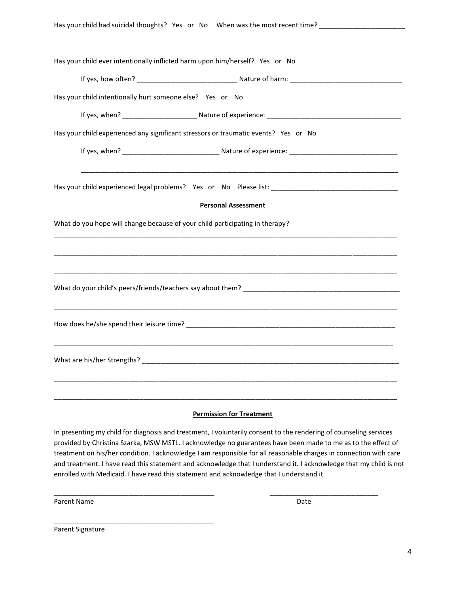| Has your child had suicidal thoughts? Yes or No When was the most recent time? ____________________ |
|-----------------------------------------------------------------------------------------------------|
|                                                                                                     |
| Has your child ever intentionally inflicted harm upon him/herself? Yes or No                        |
|                                                                                                     |
|                                                                                                     |
| Has your child intentionally hurt someone else? Yes or No                                           |
|                                                                                                     |
| Has your child experienced any significant stressors or traumatic events? Yes or No                 |
|                                                                                                     |
|                                                                                                     |
|                                                                                                     |
|                                                                                                     |
| <b>Personal Assessment</b>                                                                          |
| What do you hope will change because of your child participating in therapy?                        |
|                                                                                                     |
|                                                                                                     |
|                                                                                                     |
|                                                                                                     |
|                                                                                                     |
|                                                                                                     |
|                                                                                                     |
|                                                                                                     |
|                                                                                                     |
|                                                                                                     |
|                                                                                                     |

## **Permission for Treatment**

In presenting my child for diagnosis and treatment, I voluntarily consent to the rendering of counseling services provided by Christina Szarka, MSW MSTL. I acknowledge no guarantees have been made to me as to the effect of treatment on his/her condition. I acknowledge I am responsible for all reasonable charges in connection with care and treatment. I have read this statement and acknowledge that I understand it. I acknowledge that my child is not enrolled with Medicaid. I have read this statement and acknowledge that I understand it.

\_\_\_\_\_\_\_\_\_\_\_\_\_\_\_\_\_\_\_\_\_\_\_\_\_\_\_\_\_\_\_\_\_\_\_\_\_\_\_\_\_\_\_ \_\_\_\_\_\_\_\_\_\_\_\_\_\_\_\_\_\_\_\_\_\_\_\_\_\_\_\_\_

Parent Name Date and Date Date of the Date of the Date of the Date Date of the Date of the Date of the Date of the Date of the Date of the Date of the Date of the Date of the Date of the Date of the Date of the Date of the

Parent Signature

\_\_\_\_\_\_\_\_\_\_\_\_\_\_\_\_\_\_\_\_\_\_\_\_\_\_\_\_\_\_\_\_\_\_\_\_\_\_\_\_\_\_\_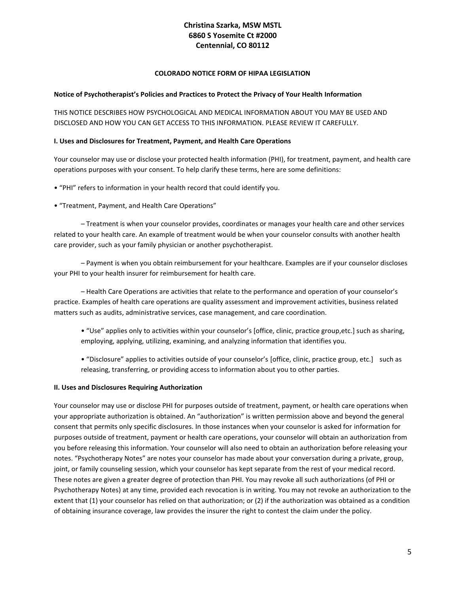# **Christina Szarka, MSW MSTL 6860 S Yosemite Ct #2000 Centennial, CO 80112**

## **COLORADO NOTICE FORM OF HIPAA LEGISLATION**

## **Notice of Psychotherapist's Policies and Practices to Protect the Privacy of Your Health Information**

THIS NOTICE DESCRIBES HOW PSYCHOLOGICAL AND MEDICAL INFORMATION ABOUT YOU MAY BE USED AND DISCLOSED AND HOW YOU CAN GET ACCESS TO THIS INFORMATION. PLEASE REVIEW IT CAREFULLY.

#### **I. Uses and Disclosures for Treatment, Payment, and Health Care Operations**

Your counselor may use or disclose your protected health information (PHI), for treatment, payment, and health care operations purposes with your consent. To help clarify these terms, here are some definitions:

• "PHI" refers to information in your health record that could identify you.

• "Treatment, Payment, and Health Care Operations"

– Treatment is when your counselor provides, coordinates or manages your health care and other services related to your health care. An example of treatment would be when your counselor consults with another health care provider, such as your family physician or another psychotherapist.

– Payment is when you obtain reimbursement for your healthcare. Examples are if your counselor discloses your PHI to your health insurer for reimbursement for health care.

– Health Care Operations are activities that relate to the performance and operation of your counselor's practice. Examples of health care operations are quality assessment and improvement activities, business related matters such as audits, administrative services, case management, and care coordination.

- "Use" applies only to activities within your counselor's [office, clinic, practice group,etc.] such as sharing, employing, applying, utilizing, examining, and analyzing information that identifies you.
- "Disclosure" applies to activities outside of your counselor's [office, clinic, practice group, etc.] such as releasing, transferring, or providing access to information about you to other parties.

## **II. Uses and Disclosures Requiring Authorization**

Your counselor may use or disclose PHI for purposes outside of treatment, payment, or health care operations when your appropriate authorization is obtained. An "authorization" is written permission above and beyond the general consent that permits only specific disclosures. In those instances when your counselor is asked for information for purposes outside of treatment, payment or health care operations, your counselor will obtain an authorization from you before releasing this information. Your counselor will also need to obtain an authorization before releasing your notes. "Psychotherapy Notes" are notes your counselor has made about your conversation during a private, group, joint, or family counseling session, which your counselor has kept separate from the rest of your medical record. These notes are given a greater degree of protection than PHI. You may revoke all such authorizations (of PHI or Psychotherapy Notes) at any time, provided each revocation is in writing. You may not revoke an authorization to the extent that (1) your counselor has relied on that authorization; or (2) if the authorization was obtained as a condition of obtaining insurance coverage, law provides the insurer the right to contest the claim under the policy.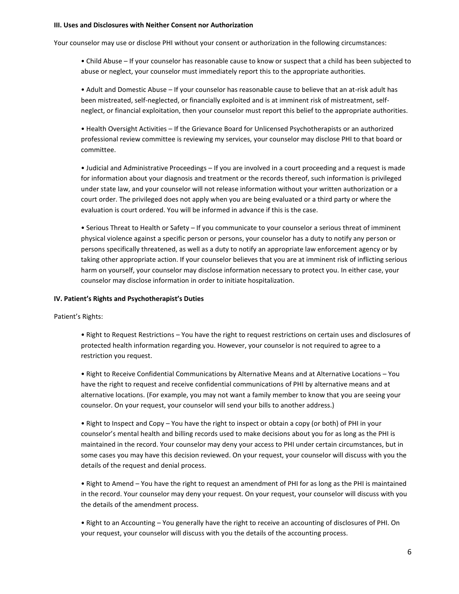#### **III. Uses and Disclosures with Neither Consent nor Authorization**

Your counselor may use or disclose PHI without your consent or authorization in the following circumstances:

• Child Abuse – If your counselor has reasonable cause to know or suspect that a child has been subjected to abuse or neglect, your counselor must immediately report this to the appropriate authorities.

• Adult and Domestic Abuse – If your counselor has reasonable cause to believe that an at-risk adult has been mistreated, self-neglected, or financially exploited and is at imminent risk of mistreatment, selfneglect, or financial exploitation, then your counselor must report this belief to the appropriate authorities.

• Health Oversight Activities – If the Grievance Board for Unlicensed Psychotherapists or an authorized professional review committee is reviewing my services, your counselor may disclose PHI to that board or committee.

• Judicial and Administrative Proceedings – If you are involved in a court proceeding and a request is made for information about your diagnosis and treatment or the records thereof, such information is privileged under state law, and your counselor will not release information without your written authorization or a court order. The privileged does not apply when you are being evaluated or a third party or where the evaluation is court ordered. You will be informed in advance if this is the case.

• Serious Threat to Health or Safety – If you communicate to your counselor a serious threat of imminent physical violence against a specific person or persons, your counselor has a duty to notify any person or persons specifically threatened, as well as a duty to notify an appropriate law enforcement agency or by taking other appropriate action. If your counselor believes that you are at imminent risk of inflicting serious harm on yourself, your counselor may disclose information necessary to protect you. In either case, your counselor may disclose information in order to initiate hospitalization.

#### **IV. Patient's Rights and Psychotherapist's Duties**

Patient's Rights:

• Right to Request Restrictions – You have the right to request restrictions on certain uses and disclosures of protected health information regarding you. However, your counselor is not required to agree to a restriction you request.

• Right to Receive Confidential Communications by Alternative Means and at Alternative Locations – You have the right to request and receive confidential communications of PHI by alternative means and at alternative locations. (For example, you may not want a family member to know that you are seeing your counselor. On your request, your counselor will send your bills to another address.)

• Right to Inspect and Copy – You have the right to inspect or obtain a copy (or both) of PHI in your counselor's mental health and billing records used to make decisions about you for as long as the PHI is maintained in the record. Your counselor may deny your access to PHI under certain circumstances, but in some cases you may have this decision reviewed. On your request, your counselor will discuss with you the details of the request and denial process.

• Right to Amend – You have the right to request an amendment of PHI for as long as the PHI is maintained in the record. Your counselor may deny your request. On your request, your counselor will discuss with you the details of the amendment process.

• Right to an Accounting – You generally have the right to receive an accounting of disclosures of PHI. On your request, your counselor will discuss with you the details of the accounting process.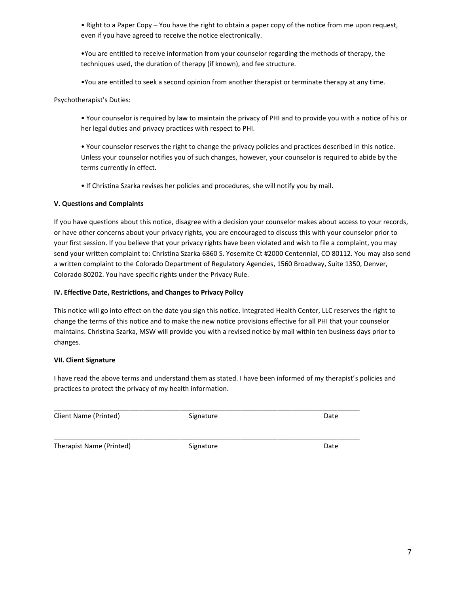• Right to a Paper Copy – You have the right to obtain a paper copy of the notice from me upon request, even if you have agreed to receive the notice electronically.

•You are entitled to receive information from your counselor regarding the methods of therapy, the techniques used, the duration of therapy (if known), and fee structure.

•You are entitled to seek a second opinion from another therapist or terminate therapy at any time.

Psychotherapist's Duties:

• Your counselor is required by law to maintain the privacy of PHI and to provide you with a notice of his or her legal duties and privacy practices with respect to PHI.

• Your counselor reserves the right to change the privacy policies and practices described in this notice. Unless your counselor notifies you of such changes, however, your counselor is required to abide by the terms currently in effect.

• If Christina Szarka revises her policies and procedures, she will notify you by mail.

# **V. Questions and Complaints**

If you have questions about this notice, disagree with a decision your counselor makes about access to your records, or have other concerns about your privacy rights, you are encouraged to discuss this with your counselor prior to your first session. If you believe that your privacy rights have been violated and wish to file a complaint, you may send your written complaint to: Christina Szarka 6860 S. Yosemite Ct #2000 Centennial, CO 80112. You may also send a written complaint to the Colorado Department of Regulatory Agencies, 1560 Broadway, Suite 1350, Denver, Colorado 80202. You have specific rights under the Privacy Rule.

# **IV. Effective Date, Restrictions, and Changes to Privacy Policy**

This notice will go into effect on the date you sign this notice. Integrated Health Center, LLC reserves the right to change the terms of this notice and to make the new notice provisions effective for all PHI that your counselor maintains. Christina Szarka, MSW will provide you with a revised notice by mail within ten business days prior to changes.

## **VII. Client Signature**

I have read the above terms and understand them as stated. I have been informed of my therapist's policies and practices to protect the privacy of my health information.

| Client Name (Printed)    | Signature | Date |
|--------------------------|-----------|------|
| Therapist Name (Printed) | Signature | Date |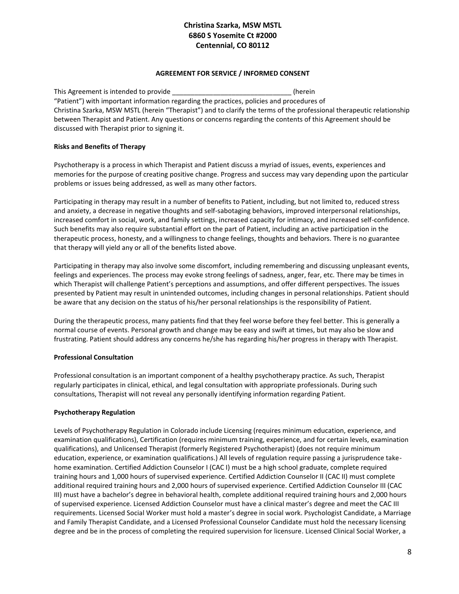# **Christina Szarka, MSW MSTL 6860 S Yosemite Ct #2000 Centennial, CO 80112**

## **AGREEMENT FOR SERVICE / INFORMED CONSENT**

This Agreement is intended to provide \_\_\_\_\_\_\_\_\_\_\_\_\_\_\_\_\_\_\_\_\_\_\_\_\_\_\_\_\_\_\_\_\_(herein "Patient") with important information regarding the practices, policies and procedures of Christina Szarka, MSW MSTL (herein "Therapist") and to clarify the terms of the professional therapeutic relationship between Therapist and Patient. Any questions or concerns regarding the contents of this Agreement should be discussed with Therapist prior to signing it.

# **Risks and Benefits of Therapy**

Psychotherapy is a process in which Therapist and Patient discuss a myriad of issues, events, experiences and memories for the purpose of creating positive change. Progress and success may vary depending upon the particular problems or issues being addressed, as well as many other factors.

Participating in therapy may result in a number of benefits to Patient, including, but not limited to, reduced stress and anxiety, a decrease in negative thoughts and self-sabotaging behaviors, improved interpersonal relationships, increased comfort in social, work, and family settings, increased capacity for intimacy, and increased self-confidence. Such benefits may also require substantial effort on the part of Patient, including an active participation in the therapeutic process, honesty, and a willingness to change feelings, thoughts and behaviors. There is no guarantee that therapy will yield any or all of the benefits listed above.

Participating in therapy may also involve some discomfort, including remembering and discussing unpleasant events, feelings and experiences. The process may evoke strong feelings of sadness, anger, fear, etc. There may be times in which Therapist will challenge Patient's perceptions and assumptions, and offer different perspectives. The issues presented by Patient may result in unintended outcomes, including changes in personal relationships. Patient should be aware that any decision on the status of his/her personal relationships is the responsibility of Patient.

During the therapeutic process, many patients find that they feel worse before they feel better. This is generally a normal course of events. Personal growth and change may be easy and swift at times, but may also be slow and frustrating. Patient should address any concerns he/she has regarding his/her progress in therapy with Therapist.

# **Professional Consultation**

Professional consultation is an important component of a healthy psychotherapy practice. As such, Therapist regularly participates in clinical, ethical, and legal consultation with appropriate professionals. During such consultations, Therapist will not reveal any personally identifying information regarding Patient.

## **Psychotherapy Regulation**

Levels of Psychotherapy Regulation in Colorado include Licensing (requires minimum education, experience, and examination qualifications), Certification (requires minimum training, experience, and for certain levels, examination qualifications), and Unlicensed Therapist (formerly Registered Psychotherapist) (does not require minimum education, experience, or examination qualifications.) All levels of regulation require passing a jurisprudence takehome examination. Certified Addiction Counselor I (CAC I) must be a high school graduate, complete required training hours and 1,000 hours of supervised experience. Certified Addiction Counselor II (CAC II) must complete additional required training hours and 2,000 hours of supervised experience. Certified Addiction Counselor III (CAC III) must have a bachelor's degree in behavioral health, complete additional required training hours and 2,000 hours of supervised experience. Licensed Addiction Counselor must have a clinical master's degree and meet the CAC III requirements. Licensed Social Worker must hold a master's degree in social work. Psychologist Candidate, a Marriage and Family Therapist Candidate, and a Licensed Professional Counselor Candidate must hold the necessary licensing degree and be in the process of completing the required supervision for licensure. Licensed Clinical Social Worker, a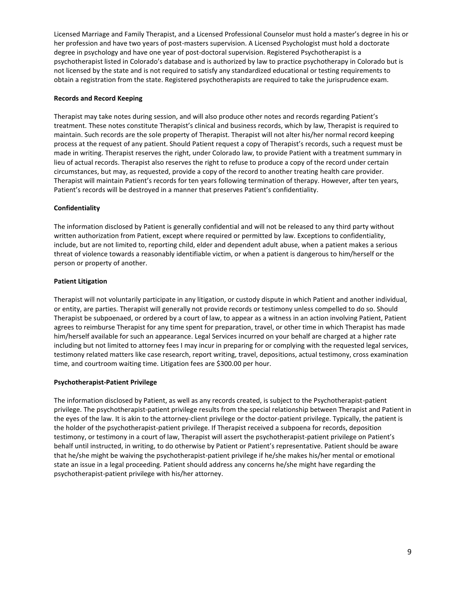Licensed Marriage and Family Therapist, and a Licensed Professional Counselor must hold a master's degree in his or her profession and have two years of post-masters supervision. A Licensed Psychologist must hold a doctorate degree in psychology and have one year of post-doctoral supervision. Registered Psychotherapist is a psychotherapist listed in Colorado's database and is authorized by law to practice psychotherapy in Colorado but is not licensed by the state and is not required to satisfy any standardized educational or testing requirements to obtain a registration from the state. Registered psychotherapists are required to take the jurisprudence exam.

## **Records and Record Keeping**

Therapist may take notes during session, and will also produce other notes and records regarding Patient's treatment. These notes constitute Therapist's clinical and business records, which by law, Therapist is required to maintain. Such records are the sole property of Therapist. Therapist will not alter his/her normal record keeping process at the request of any patient. Should Patient request a copy of Therapist's records, such a request must be made in writing. Therapist reserves the right, under Colorado law, to provide Patient with a treatment summary in lieu of actual records. Therapist also reserves the right to refuse to produce a copy of the record under certain circumstances, but may, as requested, provide a copy of the record to another treating health care provider. Therapist will maintain Patient's records for ten years following termination of therapy. However, after ten years, Patient's records will be destroyed in a manner that preserves Patient's confidentiality.

#### **Confidentiality**

The information disclosed by Patient is generally confidential and will not be released to any third party without written authorization from Patient, except where required or permitted by law. Exceptions to confidentiality, include, but are not limited to, reporting child, elder and dependent adult abuse, when a patient makes a serious threat of violence towards a reasonably identifiable victim, or when a patient is dangerous to him/herself or the person or property of another.

#### **Patient Litigation**

Therapist will not voluntarily participate in any litigation, or custody dispute in which Patient and another individual, or entity, are parties. Therapist will generally not provide records or testimony unless compelled to do so. Should Therapist be subpoenaed, or ordered by a court of law, to appear as a witness in an action involving Patient, Patient agrees to reimburse Therapist for any time spent for preparation, travel, or other time in which Therapist has made him/herself available for such an appearance. Legal Services incurred on your behalf are charged at a higher rate including but not limited to attorney fees I may incur in preparing for or complying with the requested legal services, testimony related matters like case research, report writing, travel, depositions, actual testimony, cross examination time, and courtroom waiting time. Litigation fees are \$300.00 per hour.

## **Psychotherapist-Patient Privilege**

The information disclosed by Patient, as well as any records created, is subject to the Psychotherapist-patient privilege. The psychotherapist-patient privilege results from the special relationship between Therapist and Patient in the eyes of the law. It is akin to the attorney-client privilege or the doctor-patient privilege. Typically, the patient is the holder of the psychotherapist-patient privilege. If Therapist received a subpoena for records, deposition testimony, or testimony in a court of law, Therapist will assert the psychotherapist-patient privilege on Patient's behalf until instructed, in writing, to do otherwise by Patient or Patient's representative. Patient should be aware that he/she might be waiving the psychotherapist-patient privilege if he/she makes his/her mental or emotional state an issue in a legal proceeding. Patient should address any concerns he/she might have regarding the psychotherapist-patient privilege with his/her attorney.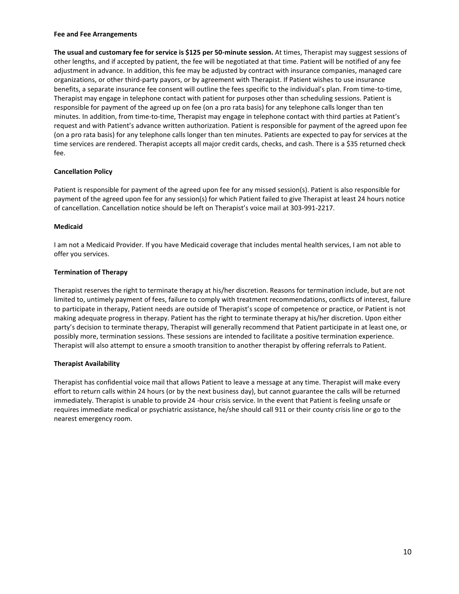#### **Fee and Fee Arrangements**

**The usual and customary fee for service is \$125 per 50-minute session.** At times, Therapist may suggest sessions of other lengths, and if accepted by patient, the fee will be negotiated at that time. Patient will be notified of any fee adjustment in advance. In addition, this fee may be adjusted by contract with insurance companies, managed care organizations, or other third-party payors, or by agreement with Therapist. If Patient wishes to use insurance benefits, a separate insurance fee consent will outline the fees specific to the individual's plan. From time-to-time, Therapist may engage in telephone contact with patient for purposes other than scheduling sessions. Patient is responsible for payment of the agreed up on fee (on a pro rata basis) for any telephone calls longer than ten minutes. In addition, from time-to-time, Therapist may engage in telephone contact with third parties at Patient's request and with Patient's advance written authorization. Patient is responsible for payment of the agreed upon fee (on a pro rata basis) for any telephone calls longer than ten minutes. Patients are expected to pay for services at the time services are rendered. Therapist accepts all major credit cards, checks, and cash. There is a \$35 returned check fee.

#### **Cancellation Policy**

Patient is responsible for payment of the agreed upon fee for any missed session(s). Patient is also responsible for payment of the agreed upon fee for any session(s) for which Patient failed to give Therapist at least 24 hours notice of cancellation. Cancellation notice should be left on Therapist's voice mail at 303-991-2217.

#### **Medicaid**

I am not a Medicaid Provider. If you have Medicaid coverage that includes mental health services, I am not able to offer you services.

### **Termination of Therapy**

Therapist reserves the right to terminate therapy at his/her discretion. Reasons for termination include, but are not limited to, untimely payment of fees, failure to comply with treatment recommendations, conflicts of interest, failure to participate in therapy, Patient needs are outside of Therapist's scope of competence or practice, or Patient is not making adequate progress in therapy. Patient has the right to terminate therapy at his/her discretion. Upon either party's decision to terminate therapy, Therapist will generally recommend that Patient participate in at least one, or possibly more, termination sessions. These sessions are intended to facilitate a positive termination experience. Therapist will also attempt to ensure a smooth transition to another therapist by offering referrals to Patient.

#### **Therapist Availability**

Therapist has confidential voice mail that allows Patient to leave a message at any time. Therapist will make every effort to return calls within 24 hours (or by the next business day), but cannot guarantee the calls will be returned immediately. Therapist is unable to provide 24 -hour crisis service. In the event that Patient is feeling unsafe or requires immediate medical or psychiatric assistance, he/she should call 911 or their county crisis line or go to the nearest emergency room.